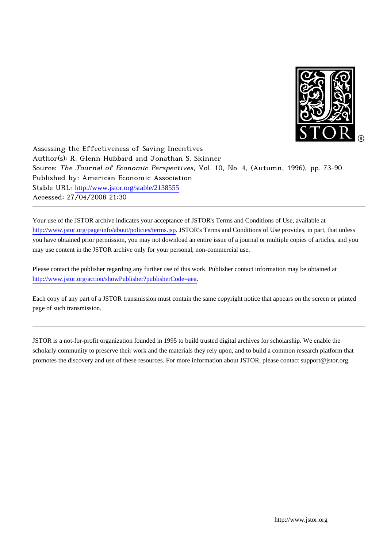

Assessing the Effectiveness of Saving Incentives Author(s): R. Glenn Hubbard and Jonathan S. Skinner Source: The Journal of Economic Perspectives, Vol. 10, No. 4, (Autumn, 1996), pp. 73-90 Published by: American Economic Association Stable URL: [http://www.jstor.org/stable/2138555](http://www.jstor.org/stable/2138555?origin=JSTOR-pdf) Accessed: 27/04/2008 21:30

Your use of the JSTOR archive indicates your acceptance of JSTOR's Terms and Conditions of Use, available at <http://www.jstor.org/page/info/about/policies/terms.jsp>. JSTOR's Terms and Conditions of Use provides, in part, that unless you have obtained prior permission, you may not download an entire issue of a journal or multiple copies of articles, and you may use content in the JSTOR archive only for your personal, non-commercial use.

Please contact the publisher regarding any further use of this work. Publisher contact information may be obtained at <http://www.jstor.org/action/showPublisher?publisherCode=aea>.

Each copy of any part of a JSTOR transmission must contain the same copyright notice that appears on the screen or printed page of such transmission.

JSTOR is a not-for-profit organization founded in 1995 to build trusted digital archives for scholarship. We enable the scholarly community to preserve their work and the materials they rely upon, and to build a common research platform that promotes the discovery and use of these resources. For more information about JSTOR, please contact support@jstor.org.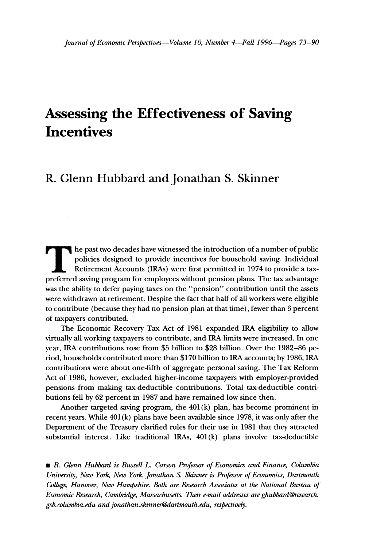# **Assessing the Effectiveness of Saving Incentives**

## **R. Glenn Hubbard and Jonathan S. Skinner**

**he past two decades have witnessed the introduction of a number of public policies designed to provide incentives for household saving. Individual Retirement Accounts (IRAs) were first permitted in 1974 to provide a taxpreferred saving program for employees without pension plans. The tax advantage was the ability to defer paying taxes on the "pension" contribution until the assets were withdrawn at retirement. Despite the fact that half of all workers were eligible to contribute (because they had no pension plan at that time), fewer than 3 percent of taxpayers contributed.** 

**The Economic Recovery Tax Act of 1981 expanded IRA eligibility to allow virtually all working taxpayers to contribute, and IRA limits were increased. In one year, IRA contributions rose from \$5 billion to \$28 billion. Over the 1982-86 period, households contributed more than \$170 billion to IRA accounts; by 1986, IRA contributions were about one-fifth of aggregate personal saving. The Tax Reform Act of 1986, however, excluded higher-income taxpayers with employer-provided pensions from making tax-deductible contributions. Total tax-deductible contributions fell by 62 percent in 1987 and have remained low since then.** 

**Another targeted saving program, the 401 (k) plan, has become prominent in recent years. While 401 (k) plans have been available since 1978, it was only after the Department of the Treasury clarified rules for their use in 1981 that they attracted substantial interest. Like traditional IRAs, 401 (k) plans involve tax-deductible** 

**\*R Glenn Hubbard is Russell L. Carson Professor of Economics and Finance, Columbia University, New York, New York. Jonathan S. Skinner is Professor of Economics, Dartmouth College, Hanover, New Hampshire. Both are Research Associates at the National Bureau of Economic Research, Cambridge, Massachusetts. Their e-mail addresses are ghubbard@research. gsb.columbia.edu and jonathan.skinner@dartmouth.edu, respectively.**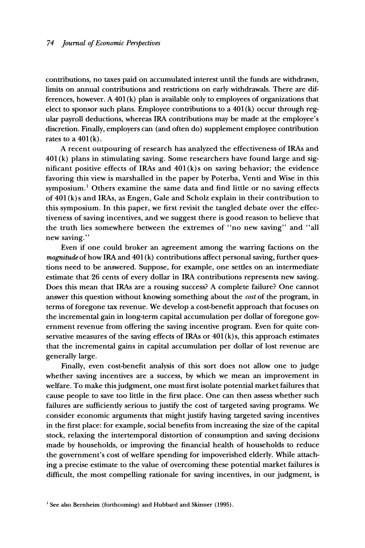**contributions, no taxes paid on accumulated interest until the funds are withdrawn, limits on annual contributions and restrictions on early withdrawals. There are differences, however. A 401 (k) plan is available only to employees of organizations that elect to sponsor such plans. Employee contributions to a 401 (k) occur through regular payroll deductions, whereas IRA contributions may be made at the employee's discretion. Finally, employers can (and often do) supplement employee contribution**  rates to a  $401(k)$ .

**A recent outpouring of research has analyzed the effectiveness of IRAs and 401 (k) plans in stimulating saving. Some researchers have found large and significant positive effects of IRAs and 401 (k)s on saving behavior; the evidence favoring this view is marshalled in the paper by Poterba, Venti and Wise in this symposium.' Others examine the same data and find little or no saving effects of 401 (k) s and IRAs, as Engen, Gale and Scholz explain in their contribution to this symposium. In this paper, we first revisit the tangled debate over the effectiveness of saving incentives, and we suggest there is good reason to believe that the truth lies somewhere between the extremes of "no new saving" and "all new saving."** 

**Even if one could broker an agreement among the warring factions on the magnitude of how IRA and 401 (k) contributions affect personal saving, further questions need to be answered. Suppose, for example, one settles on an intermediate estimate that 26 cents of every dollar in IRA contributions represents new saving. Does this mean that IRAs are a rousing success? A complete failure? One cannot answer this question without knowing something about the cost of the program, in terms of foregone tax revenue. We develop a cost-benefit approach that focuses on the incremental gain in long-term capital accumulation per dollar of foregone government revenue from offering the saving incentive program. Even for quite conservative measures of the saving effects of IRAs or 401 (k)s, this approach estimates that the incremental gains in capital accumulation per dollar of lost revenue are generally large.** 

**Finally, even cost-benefit analysis of this sort does not allow one to judge whether saving incentives are a success, by which we mean an improvement in welfare. To make this judgment, one must first isolate potential market failures that cause people to save too little in the first place. One can then assess whether such failures are sufficiently serious to justify the cost of targeted saving programs. We consider economic arguments that might justify having targeted saving incentives in the first place: for example, social benefits from increasing the size of the capital stock, relaxing the intertemporal distortion of consumption and saving decisions made by households, or improving the financial health of households to reduce the government's cost of welfare spending for impoverished elderly. While attaching a precise estimate to the value of overcoming these potential market failures is difficult, the most compelling rationale for saving incentives, in our judgment, is** 

**<sup>&#</sup>x27;See also Bernheim (forthcoming) and Hubbard and Skinner (1995).**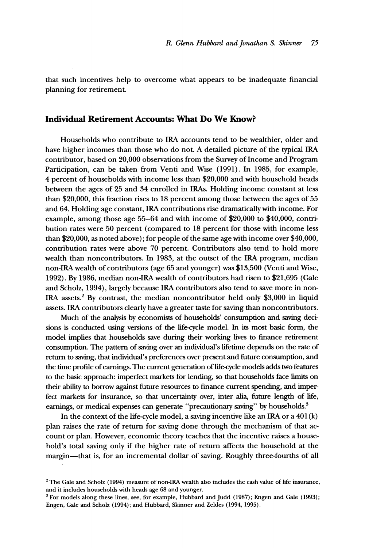**that such incentives help to overcome what appears to be inadequate financial planning for retirement.** 

#### **Individual Retirement Accounts: What Do We Know?**

**Households who contribute to IRA accounts tend to be wealthier, older and have higher incomes than those who do not. A detailed picture of the typical IRA contributor, based on 20,000 observations from the Survey of Income and Program Participation, can be taken from Venti and Wise (1991). In 1985, for example, 4 percent of households with income less than \$20,000 and with household heads between the ages of 25 and 34 enrolled in IRAs. Holding income constant at less than \$20,000, this fraction rises to 18 percent among those between the ages of 55 and 64. Holding age constant, IRA contributions rise dramatically with income. For example, among those age 55-64 and with income of \$20,000 to \$40,000, contribution rates were 50 percent (compared to 18 percent for those with income less than \$20,000, as noted above); for people of the same age with income over \$40,000, contribution rates were above 70 percent. Contributors also tend to hold more wealth than noncontributors. In 1983, at the outset of the IRA program, median non-IRA wealth of contributors (age 65 and younger) was \$13,500 (Venti and Wise, 1992). By 1986, median non-IRA wealth of contributors had risen to \$21,695 (Gale and Scholz, 1994), largely because IRA contributors also tend to save more in non-IRA assets.2 By contrast, the median noncontributor held only \$3,000 in liquid assets. IRA contributors clearly have a greater taste for saving than noncontributors.** 

**Much of the analysis by economists of households' consumption and saving decisions is conducted using versions of the life-cycle model. In its most basic form, the model implies that households save during their working lives to finance retirement consumption. The pattern of saving over an individual's lifetime depends on the rate of return to saving, that individual's preferences over present and future consumption, and the time profile of earnings. The current generation of life-cycle models adds two features to the basic approach: imperfect markets for lending, so that households face limits on their ability to borrow against future resources to finance current spending, and imperfect markets for insurance, so that uncertainty over, inter alia, future length of life, earnings, or medical expenses can generate "precautionary saving" by households.3** 

**In the context of the life-cycle model, a saving incentive like an IRA or a 401 (k) plan raises the rate of return for saving done through the mechanism of that account or plan. However, economic theory teaches that the incentive raises a household's total saving only if the higher rate of return affects the household at the margin-that is, for an incremental dollar of saving. Roughly three-fourths of all** 

<sup>&</sup>lt;sup>2</sup> The Gale and Scholz (1994) measure of non-IRA wealth also includes the cash value of life insurance, **and it includes households with heads age 68 and younger.** 

**<sup>3</sup>For models along these lines, see, for example, Hubbard and Judd (1987); Engen and Gale (1993); Engen, Gale and Scholz (1994); and Hubbard, Skinner and Zeldes (1994, 1995).**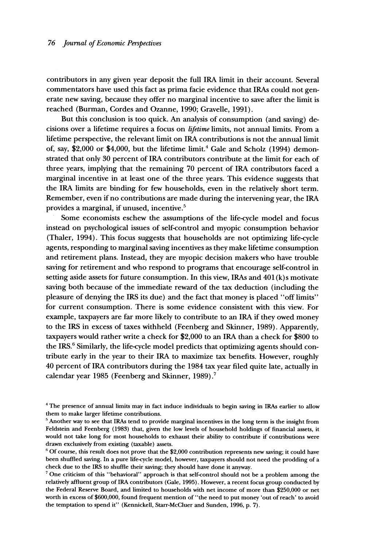**contributors in any given year deposit the full IRA limit in their account. Several commentators have used this fact as prima facie evidence that IRAs could not generate new saving, because they offer no marginal incentive to save after the limit is reached (Burman, Cordes and Ozanne, 1990; Gravelle, 1991).** 

**But this conclusion is too quick. An analysis of consumption (and saving) decisions over a lifetime requires a focus on lifetime limits, not annual limits. From a lifetime perspective, the relevant limit on IRA contributions is not the annual limit of, say, \$2,000 or \$4,000, but the lifetime limit.4 Gale and Scholz (1994) demonstrated that only 30 percent of IRA contributors contribute at the limit for each of three years, implying that the remaining 70 percent of IRA contributors faced a marginal incentive in at least one of the three years. This evidence suggests that the IRA limits are binding for few households, even in the relatively short term. Remember, even if no contributions are made during the intervening year, the IRA provides a marginal, if unused, incentive.5** 

**Some economists eschew the assumptions of the life-cycle model and focus instead on psychological issues of self-control and myopic consumption behavior (Thaler, 1994). This focus suggests that households are not optimizing life-cycle agents, responding to marginal saving incentives as they make lifetime consumption and retirement plans. Instead, they are myopic decision makers who have trouble saving for retirement and who respond to programs that encourage self-control in setting aside assets for future consumption. In this view, IRAs and 401 (k)s motivate saving both because of the immediate reward of the tax deduction (including the pleasure of denying the IRS its due) and the fact that money is placed "off limits" for current consumption. There is some evidence consistent with this view. For example, taxpayers are far more likely to contribute to an IRA if they owed money to the IRS in excess of taxes withheld (Feenberg and Skinner, 1989). Apparently, taxpayers would rather write a check for \$2,000 to an IRA than a check for \$800 to the IRS.' Similarly, the life-cycle model predicts that optimizing agents should contribute early in the year to their IRA to maximize tax benefits. However, roughly 40 percent of IRA contributors during the 1984 tax year filed quite late, actually in calendar year 1985 (Feenberg and Skinner, 1989).7** 

**<sup>&#</sup>x27;The presence of annual limits may in fact induce individuals to begin saving in IRAs earlier to allow them to make larger lifetime contributions.** 

**<sup>5</sup>Another way to see that IRAs tend to provide marginal incentives in the long term is the insight from Feldstein and Feenberg (1983) that, given the low levels of household holdings of financial assets, it would not take long for most households to exhaust their ability to contribute if contributions were drawn exclusively from existing (taxable) assets.** 

**<sup>6</sup>Of course, this result does not prove that the \$2,000 contribution represents new saving; it could have been shuffled saving. In a pure life-cycle model, however, taxpayers should not need the prodding of a check due to the IRS to shuffle their saving; they should have done it anyway.** 

**<sup>7</sup>One criticism of this "behavioral" approach is that self-control should not be a problem among the relatively affluent group of IRA contributors (Gale, 1995). However, a recent focus group conducted by the Federal Reserve Board, and limited to households with net income of more than \$250,000 or net worth in excess of \$600,000, found frequent mention of "the need to put money 'out of reach' to avoid the temptation to spend it" (Kennickell, Starr-McCluer and Sunden, 1996, p. 7).**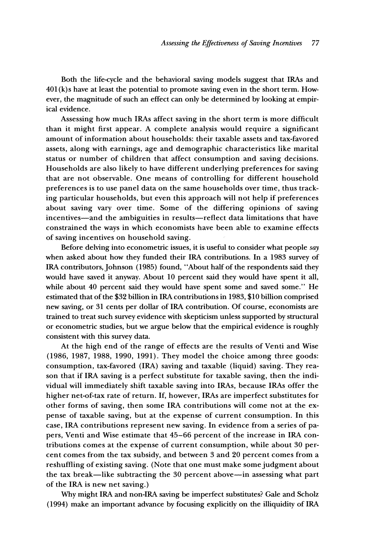**Both the life-cycle and the behavioral saving models suggest that IRAs and 401 (k)s have at least the potential to promote saving even in the short term. However, the magnitude of such an effect can only be determined by looking at empirical evidence.** 

**Assessing how much IRAs affect saving in the short term is more difficult than it might first appear. A complete analysis would require a significant amount of information about households: their taxable assets and tax-favored assets, along with earnings, age and demographic characteristics like marital status or number of children that affect consumption and saving decisions. Households are also likely to have different underlying preferences for saving that are not observable. One means of controlling for different household preferences is to use panel data on the same households over time, thus tracking particular households, but even this approach will not help if preferences about saving vary over time. Some of the differing opinions of saving**  incentives-and the ambiguities in results-reflect data limitations that have **constrained the ways in which economists have been able to examine effects of saving incentives on household saving.** 

**Before delving into econometric issues, it is useful to consider what people say when asked about how they funded their IRA contributions. In a 1983 survey of IRA contributors, Johnson (1985) found, "About half of the respondents said they would have saved it anyway. About 10 percent said they would have spent it all, while about 40 percent said they would have spent some and saved some." He estimated that of the \$32 billion in IRA contributions in 1983, \$10 billion comprised new saving, or 31 cents per dollar of IRA contribution. Of course, economists are trained to treat such survey evidence with skepticism unless supported by structural or econometric studies, but we argue below that the empirical evidence is roughly consistent with this survey data.** 

**At the high end of the range of effects are the results of Venti and Wise (1986, 1987, 1988, 1990, 1991). They model the choice among three goods: consumption, tax-favored (IRA) saving and taxable (liquid) saving. They reason that if IRA saving is a perfect substitute for taxable saving, then the individual will immediately shift taxable saving into IRAs, because IRAs offer the higher net-of-tax rate of return. If, however, IRAs are imperfect substitutes for other forms of saving, then some IRA contributions will come not at the expense of taxable saving, but at the expense of current consumption. In this case, IRA contributions represent new saving. In evidence from a series of papers, Venti and Wise estimate that 45-66 percent of the increase in IRA contributions comes at the expense of current consumption, while about 30 percent comes from the tax subsidy, and between 3 and 20 percent comes from a reshuffling of existing saving. (Note that one must make some judgment about the tax break-like subtracting the 30 percent above-in assessing what part of the IRA is new net saving.)** 

**Why might IRA and non-IRA saving be imperfect substitutes? Gale and Scholz (1994) make an important advance by focusing explicitly on the illiquidity of IRA**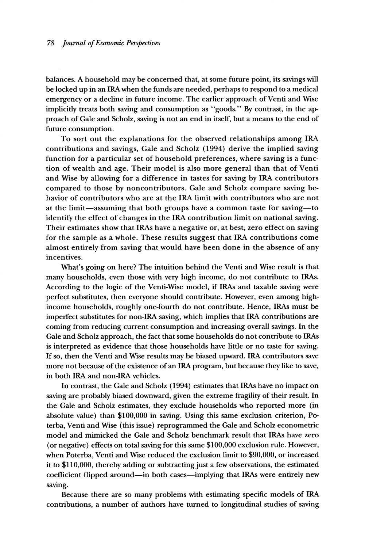**balances. A household may be concerned that, at some future point, its savings will be locked up in an IRA when the funds are needed, perhaps to respond to a medical emergency or a decline in future income. The earlier approach of Venti and Wise implicitly treats both saving and consumption as "goods." By contrast, in the approach of Gale and Scholz, saving is not an end in itself, but a means to the end of future consumption.** 

**To sort out the explanations for the observed relationships among IRA contributions and savings, Gale and Scholz (1994) derive the implied saving function for a particular set of household preferences, where saving is a function of wealth and age. Their model is also more general than that of Venti and Wise by allowing for a difference in tastes for saving by IRA contributors compared to those by noncontributors. Gale and Scholz compare saving behavior of contributors who are at the IRA limit with contributors who are not at the limit-assuming that both groups have a common taste for saving-to identify the effect of changes in the IRA contribution limit on national saving. Their estimates show that IRAs have a negative or, at best, zero effect on saving for the sample as a whole. These results suggest that IRA contributions come almost entirely from saving that would have been done in the absence of any incentives.** 

**What's going on here? The intuition behind the Venti and Wise result is that many households, even those with very high income, do not contribute to IRAs. According to the logic of the Venti-Wise model, if IRAs and taxable saving were perfect substitutes, then everyone should contribute. However, even among highincome households, roughly one-fourth do not contribute. Hence, IRAs must be imperfect substitutes for non-IRA saving, which implies that IRA contributions are coming from reducing current consumption and increasing overall savings. In the Gale and Scholz approach, the fact that some households do not contribute to IRAs is interpreted as evidence that those households have little or no taste for saving. If so, then the Venti and Wise results may be biased upward. IRA contributors save more not because of the existence of an IRA program, but because they like to save, in both IRA and non-IRA vehicles.** 

**In contrast, the Gale and Scholz (1994) estimates that IRAs have no impact on saving are probably biased downward, given the extreme fragility of their result. In the Gale and Scholz estimates, they exclude households who reported more (in absolute value) than \$100,000 in saving. Using this same exclusion criterion, Poterba, Venti and Wise (this issue) reprogrammed the Gale and Scholz econometric model and mimicked the Gale and Scholz benchmark result that IRAs have zero (or negative) effects on total saving for this same \$100,000 exclusion rule. However, when Poterba, Venti and Wise reduced the exclusion limit to \$90,000, or increased it to \$110,000, thereby adding or subtracting just a few observations, the estimated coefficient flipped around-in both cases-implying that IRAs were entirely new saving.** 

**Because there are so many problems with estimating specific models of IRA contributions, a number of authors have turned to longitudinal studies of saving**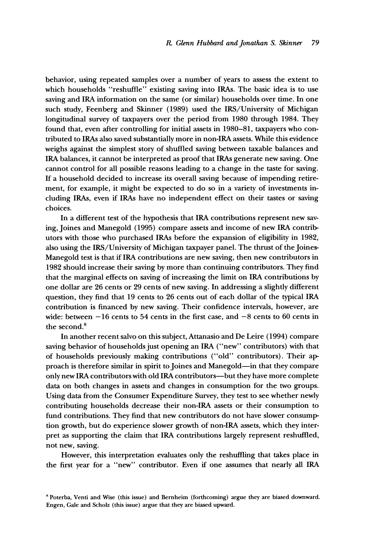**behavior, using repeated samples over a number of years to assess the extent to which households "reshuffle" existing saving into IRAs. The basic idea is to use saving and IRA information on the same (or similar) households over time. In one such study, Feenberg and Skinner (1989) used the IRS/University of Michigan longitudinal survey of taxpayers over the period from 1980 through 1984. They found that, even after controlling for initial assets in 1980-81, taxpayers who contributed to IRAs also saved substantially more in non-IRA assets. While this evidence weighs against the simplest story of shuffled saving between taxable balances and IRA balances, it cannot be interpreted as proof that IRAs generate new saving. One cannot control for all possible reasons leading to a change in the taste for saving. If a household decided to increase its overall saving because of impending retirement, for example, it might be expected to do so in a variety of investments including IRAs, even if IRAs have no independent effect on their tastes or saving choices.** 

**In a different test of the hypothesis that IRA contributions represent new saving, Joines and Manegold (1995) compare assets and income of new IRA contributors with those who purchased IRAs before the expansion of eligibility in 1982, also using the IRS/University of Michigan taxpayer panel. The thrust of the Joines-Manegold test is that if IRA contributions are new saving, then new contributors in 1982 should increase their saving by more than continuing contributors. They find that the marginal effects on saving of increasing the limit on IRA contributions by one dollar are 26 cents or 29 cents of new saving. In addressing a slightly different question, they find that 19 cents to 26 cents out of each dollar of the typical IRA contribution is financed by new saving. Their confidence intervals, however, are wide: between -16 cents to 54 cents in the first case, and -8 cents to 60 cents in the second.8** 

**In another recent salvo on this subject, Attanasio and De Leire (1994) compare saving behavior of households just opening an IRA ("new" contributors) with that of households previously making contributions ("old" contributors). Their approach is therefore similar in spirit to Joines and Manegold-in that they compare only new IRA contributors with old IRA contributors-but they have more complete data on both changes in assets and changes in consumption for the two groups. Using data from the Consumer Expenditure Survey, they test to see whether newly contributing households decrease their non-IRA assets or their consumption to fund contributions. They find that new contributors do not have slower consumption growth, but do experience slower growth of non-IRA assets, which they interpret as supporting the claim that IRA contributions largely represent reshuffled, not new, saving.** 

**However, this interpretation evaluates only the reshuffling that takes place in the first year for a "new" contributor. Even if one assumes that nearly all IRA** 

**8 Poterba, Venti and Wise (this issue) and Bernheim (forthcoming) argue they are biased downward. Engen, Gale and Scholz (this issue) argue that they are biased upward.**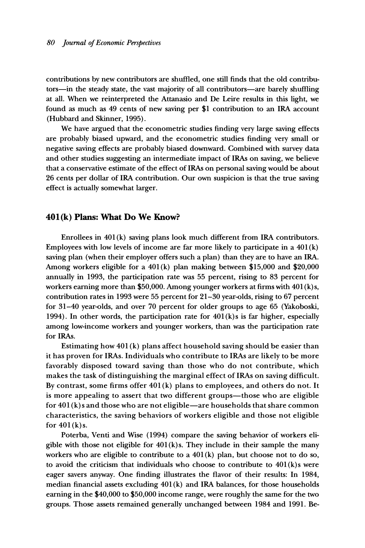**contributions by new contributors are shuffled, one still finds that the old contributors-in the steady state, the vast majority of all contributors-are barely shuffling at all. When we reinterpreted the Attanasio and De Leire results in this light, we found as much as 49 cents of new saving per \$1 contribution to an IRA account (Hubbard and Skinner, 1995).** 

**We have argued that the econometric studies finding very large saving effects are probably biased upward, and the econometric studies finding very small or negative saving effects are probably biased downward. Combined with survey data and other studies suggesting an intermediate impact of IRAs on saving, we believe that a conservative estimate of the effect of IRAs on personal saving would be about 26 cents per dollar of IRA contribution. Our own suspicion is that the true saving effect is actually somewhat larger.** 

#### **401(k) Plans: What Do We Know?**

**Enrollees in 401 (k) saving plans look much different from IRA contributors. Employees with low levels of income are far more likely to participate in a 401 (k) saving plan (when their employer offers such a plan) than they are to have an IRA. Among workers eligible for a 401 (k) plan making between \$15,000 and \$20,000 annually in 1993, the participation rate was 55 percent, rising to 83 percent for workers earning more than \$50,000. Among younger workers at firms with 401 (k) s, contribution rates in 1993 were 55 percent for 21-30 year-olds, rising to 67 percent for 31-40 year-olds, and over 70 percent for older groups to age 65 (Yakoboski, 1994). In other words, the participation rate for 401(k) s is far higher, especially among low-income workers and younger workers, than was the participation rate for IRAs.** 

**Estimating how 401 (k) plans affect household saving should be easier than it has proven for IRAs. Individuals who contribute to IRAs are likely to be more favorably disposed toward saving than those who do not contribute, which makes the task of distinguishing the marginal effect of IRAs on saving difficult. By contrast, some firms offer 401 (k) plans to employees, and others do not. It**  is more appealing to assert that two different groups—those who are eligible **for 401 (k) s and those who are not eligible-are households that share common characteristics, the saving behaviors of workers eligible and those not eligible for 401 (k)s.** 

**Poterba, Venti and Wise (1994) compare the saving behavior of workers eligible with those not eligible for 401(k) s. They include in their sample the many workers who are eligible to contribute to a 401 (k) plan, but choose not to do so, to avoid the criticism that individuals who choose to contribute to 401 (k)s were eager savers anyway. One finding illustrates the flavor of their results: In 1984, median financial assets excluding 401 (k) and IRA balances, for those households earning in the \$40,000 to \$50,000 income range, were roughly the same for the two groups. Those assets remained generally unchanged between 1984 and 1991. Be-**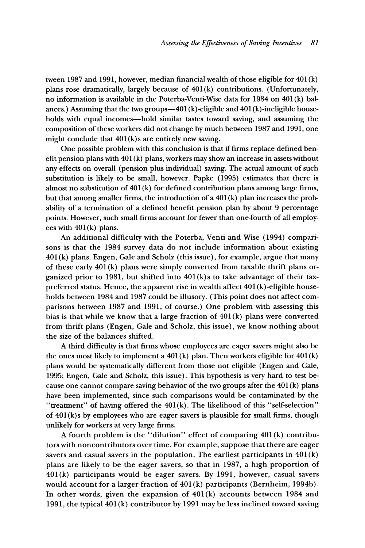**tween 1987 and 1991, however, median financial wealth of those eligible for 401 (k) plans rose dramatically, largely because of 401 (k) contributions. (Unfortunately, no information is available in the Poterba-Venti-Wise data for 1984 on 401 (k) bal**ances.) Assuming that the two groups—401 (k)-eligible and 401 (k)-ineligible house**holds with equal incomes-hold similar tastes toward saving, and assuming the composition of these workers did not change by much between 1987 and 1991, one**  might conclude that  $401(k)$ s are entirely new saving.

**One possible problem with this conclusion is that if firms replace defined benefit pension plans with 401 (k) plans, workers may show an increase in assets without any effects on overall (pension plus individual) saving. The actual amount of such substitution is likely to be small, however. Papke (1995) estimates that there is almost no substitution of 401 (k) for defined contribution plans among large firms, but that among smaller firms, the introduction of a 401 (k) plan increases the probability of a termination of a defined benefit pension plan by about 9 percentage points. However, such small firms account for fewer than one-fourth of all employees with 401 (k) plans.** 

**An additional difficulty with the Poterba, Venti and Wise (1994) comparisons is that the 1984 survey data do not include information about existing 401 (k) plans. Engen, Gale and Scholz (this issue), for example, argue that many of these early 401 (k) plans were simply converted from taxable thrift plans organized prior to 1981, but shifted into 401 (k)s to take advantage of their taxpreferred status. Hence, the apparent rise in wealth affect 401 (k) -eligible households between 1984 and 1987 could be illusory. (This point does not affect comparisons between 1987 and 1991, of course.) One problem with assessing this bias is that while we know that a large fraction of 401 (k) plans were converted from thrift plans (Engen, Gale and Scholz, this issue), we know nothing about the size of the balances shifted.** 

**A third difficulty is that firms whose employees are eager savers might also be the ones most likely to implement a 401 (k) plan. Then workers eligible for 401 (k) plans would be systematically different from those not eligible (Engen and Gale, 1995; Engen, Gale and Scholz, this issue). This hypothesis is very hard to test because one cannot compare saving behavior of the two groups after the 401 (k) plans have been implemented, since such comparisons would be contaminated by the "treatment" of having offered the 401(k). The likelihood of this "self-selection" of 401 (k)s by employees who are eager savers is plausible for small firms, though unlikely for workers at very large firms.** 

**A fourth problem is the "dilution" effect of comparing 401 (k) contributors with noncontributors over time. For example, suppose that there are eager savers and casual savers in the population. The earliest participants in 401 (k) plans are likely to be the eager savers, so that in 1987, a high proportion of 401(k) participants would be eager savers. By 1991, however, casual savers would account for a larger fraction of 401 (k) participants (Bernheim, 1994b). In other words, given the expansion of 401 (k) accounts between 1984 and 1991, the typical 401 (k) contributor by 1991 may be less inclined toward saving**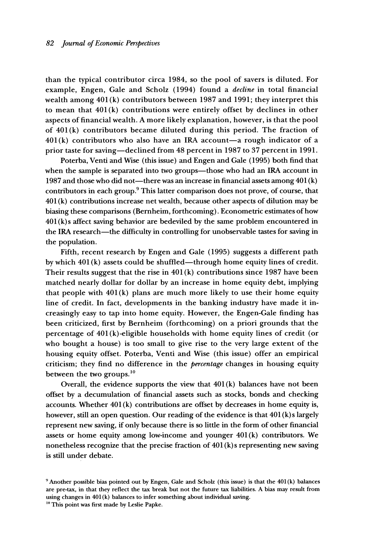**than the typical contributor circa 1984, so the pool of savers is diluted. For example, Engen, Gale and Scholz (1994) found a decline in total financial wealth among 401 (k) contributors between 1987 and 1991; they interpret this to mean that 401 (k) contributions were entirely offset by declines in other aspects of financial wealth. A more likely explanation, however, is that the pool of 401 (k) contributors became diluted during this period. The fraction of 401 (k) contributors who also have an IRA account-a rough indicator of a prior taste for saving-declined from 48 percent in 1987 to 37 percent in 1991.** 

**Poterba, Venti and Wise (this issue) and Engen and Gale (1995) both find that**  when the sample is separated into two groups—those who had an IRA account in 1987 and those who did not—there was an increase in financial assets among 401(k) **contributors in each group.9 This latter comparison does not prove, of course, that 401 (k) contributions increase net wealth, because other aspects of dilution may be biasing these comparisons (Bernheim, forthcoming). Econometric estimates of how 401 (k)s affect saving behavior are bedeviled by the same problem encountered in**  the IRA research-the difficulty in controlling for unobservable tastes for saving in **the population.** 

**Fifth, recent research by Engen and Gale (1995) suggests a different path by which 401 (k) assets could be shuffled-through home equity lines of credit. Their results suggest that the rise in 401 (k) contributions since 1987 have been matched nearly dollar for dollar by an increase in home equity debt, implying that people with 401 (k) plans are much more likely to use their home equity line of credit. In fact, developments in the banking industry have made it increasingly easy to tap into home equity. However, the Engen-Gale finding has been criticized, first by Bernheim (forthcoming) on a priori grounds that the percentage of 401 (k)-eligible households with home equity lines of credit (or who bought a house) is too small to give rise to the very large extent of the housing equity offset. Poterba, Venti and Wise (this issue) offer an empirical criticism; they find no difference in the percentage changes in housing equity between the two groups.'0** 

**Overall, the evidence supports the view that 401(k) balances have not been offset by a decumulation of financial assets such as stocks, bonds and checking accounts. Whether 401 (k) contributions are offset by decreases in home equity is, however, still an open question. Our reading of the evidence is that 401 (k) s largely represent new saving, if only because there is so little in the form of other financial assets or home equity among low-income and younger 401(k) contributors. We nonetheless recognize that the precise fraction of 401 (k) s representing new saving is still under debate.** 

**<sup>9</sup>Another possible bias pointed out by Engen, Gale and Scholz (this issue) is that the 401 (k) balances are pre-tax, in that they reflect the tax break but not the future tax liabilities. A bias may result from using changes in 401 (k) balances to infer something about individual saving.** 

**<sup>&</sup>quot;This point was first made by Leslie Papke.**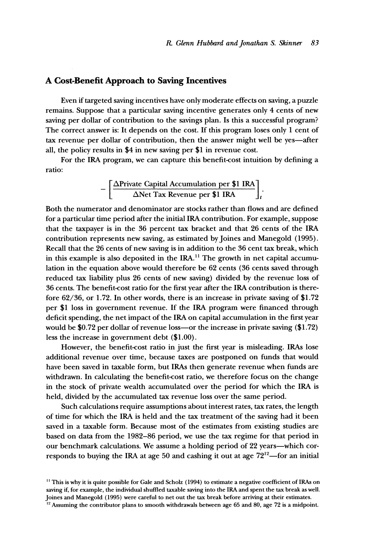#### **A Cost-Benefit Approach to Saving Incentives**

**Even if targeted saving incentives have only moderate effects on saving, a puzzle remains. Suppose that a particular saving incentive generates only 4 cents of new saving per dollar of contribution to the savings plan. Is this a successful program? The correct answer is: It depends on the cost. If this program loses only 1 cent of tax revenue per dollar of contribution, then the answer might well be yes-after all, the policy results in \$4 in new saving per \$1 in revenue cost.** 

**For the IRA program, we can capture this benefit-cost intuition by defining a ratio:** 

$$
-\left[\frac{\Delta \text{Private Capital accumulation per $1 IRA}}{\Delta \text{Net Tax Revenue per $1 IRA}}\right]_{t}
$$

**Both the numerator and denominator are stocks rather than flows and are defined for a particular time period after the initial IRA contribution. For example, suppose that the taxpayer is in the 36 percent tax bracket and that 26 cents of the IRA contribution represents new saving, as estimated byjoines and Manegold (1995). Recall that the 26 cents of new saving is in addition to the 36 cent tax break, which**  in this example is also deposited in the IRA.<sup>11</sup> The growth in net capital accumu**lation in the equation above would therefore be 62 cents (36 cents saved through reduced tax liability plus 26 cents of new saving) divided by the revenue loss of 36 cents. The benefit-cost ratio for the first year after the IRA contribution is therefore 62/36, or 1.72. In other words, there is an increase in private saving of \$1.72 per \$1 loss in government revenue. If the IRA program were financed through deficit spending, the net impact of the IRA on capital accumulation in the first year would be \$0.72 per dollar of revenue loss-or the increase in private saving (\$1.72) less the increase in government debt (\$1.00).** 

**However, the benefit-cost ratio in just the first year is misleading. IRAs lose additional revenue over time, because taxes are postponed on funds that would have been saved in taxable form, but IRAs then generate revenue when funds are withdrawn. In calculating the benefit-cost ratio, we therefore focus on the change in the stock of private wealth accumulated over the period for which the IRA is held, divided by the accumulated tax revenue loss over the same period.** 

**Such calculations require assumptions about interest rates, tax rates, the length of time for which the IRA is held and the tax treatment of the saving had it been saved in a taxable form. Because most of the estimates from existing studies are based on data from the 1982-86 period, we use the tax regime for that period in**  our benchmark calculations. We assume a holding period of 22 years—which cor**responds to buying the IRA at age 50 and cashing it out at age 7212 -for an initial** 

**<sup>&</sup>quot; This is why it is quite possible for Gale and Scholz (1994) to estimate a negative coefficient of IRAs on saving if, for example, the individual shuffled taxable saving into the IRA and spent the tax break as well. Joines and Manegold (1995) were careful to net out the tax break before arriving at their estimates.** 

<sup>&</sup>lt;sup>12</sup> Assuming the contributor plans to smooth withdrawals between age 65 and 80, age 72 is a midpoint.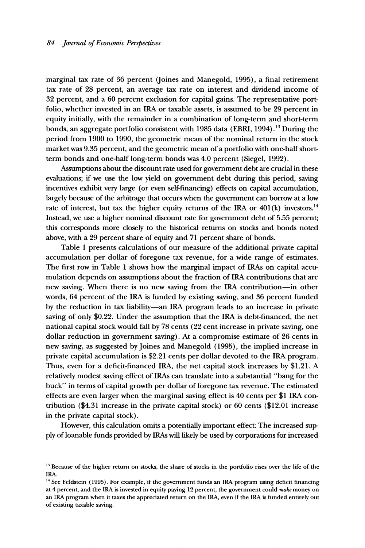**marginal tax rate of 36 percent (Joines and Manegold, 1995), a final retirement tax rate of 28 percent, an average tax rate on interest and dividend income of 32 percent, and a 60 percent exclusion for capital gains. The representative portfolio, whether invested in an IRA or taxable assets, is assumed to be 29 percent in equity initially, with the remainder in a combination of long-term and short-term**  bonds, an aggregate portfolio consistent with 1985 data (EBRI, 1994).<sup>13</sup> During the **period from 1900 to 1990, the geometric mean of the nominal return in the stock market was 9.35 percent, and the geometric mean of a portfolio with one-half shortterm bonds and one-half long-term bonds was 4.0 percent (Siegel, 1992).** 

**Assumptions about the discount rate used for government debt are crucial in these evaluations; if we use the low yield on government debt during this period, saving incentives exhibit very large (or even self-financing) effects on capital accumulation, largely because of the arbitrage that occurs when the government can borrow at a low**  rate of interest, but tax the higher equity returns of the IRA or 401(k) investors.<sup>14</sup> **Instead, we use a higher nominal discount rate for government debt of 5.55 percent; this corresponds more closely to the historical returns on stocks and bonds noted above, with a 29 percent share of equity and 71 percent share of bonds.** 

**Table 1 presents calculations of our measure of the additional private capital accumulation per dollar of foregone tax revenue, for a wide range of estimates. The first row in Table 1 shows how the marginal impact of IRAs on capital accumulation depends on assumptions about the fraction of IRA contributions that are new saving. When there is no new saving from the IRA contribution-in other words, 64 percent of the IRA is funded by existing saving, and 36 percent funded by the reduction in tax liability-an IRA program leads to an increase in private saving of only \$0.22. Under the assumption that the IRA is debt-financed, the net national capital stock would fall by 78 cents (22 cent increase in private saving, one dollar reduction in government saving). At a compromise estimate of 26 cents in**  new saving, as suggested by Joines and Manegold (1995), the implied increase in **private capital accumulation is \$2.21 cents per dollar devoted to the IRA program. Thus, even for a deficit-financed IRA, the net capital stock increases by \$1.21. A relatively modest saving effect of IRAs can translate into a substantial "bang for the buck" in terms of capital growth per dollar of foregone tax revenue. The estimated effects are even larger when the marginal saving effect is 40 cents per \$1 IRA contribution (\$4.31 increase in the private capital stock) or 60 cents (\$12.01 increase in the private capital stock).** 

**However, this calculation omits a potentially important effect: The increased supply of loanable funds provided by IRAs will likely be used by corporations for increased** 

<sup>&</sup>lt;sup>13</sup> Because of the higher return on stocks, the share of stocks in the portfolio rises over the life of the **IRA.** 

**<sup>14</sup>See Feldstein (1995). For example, if the government funds an IRA program using deficit financing at 4 percent, and the IRA is invested in equity paying 12 percent, the government could make money on an IRA program when it taxes the appreciated return on the IRA, even if the IRA is funded entirely out of existing taxable saving.**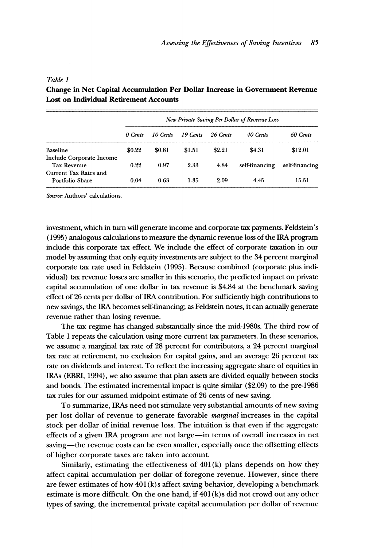|                                          | New Private Saving Per Dollar of Revenue Loss |          |          |          |                |                |
|------------------------------------------|-----------------------------------------------|----------|----------|----------|----------------|----------------|
|                                          | 0 Cents                                       | 10 Cents | 19 Cents | 26 Cents | 40 Cents       | 60 Cents       |
| Baseline                                 | \$0.22                                        | \$0.81   | \$1.51   | \$2.21   | \$4.31         | \$12.01        |
| Include Corporate Income<br>Tax Revenue  | 0.22                                          | 0.97     | 2.33     | 4.84     | self-financing | self-financing |
| Current Tax Rates and<br>Portfolio Share | 0.04                                          | 0.63     | 1.35     | 2.09     | 4.45           | 15.51          |

### **Table 1 Change in Net Capital Accumulation Per Dollar Increase in Government Revenue Lost on Individual Retirement Accounts**

**Source: Authors' calculations.** 

**investment, which in turn will generate income and corporate tax payments. Feldstein's (1995) analogous calculations to measure the dynamic revenue loss of the IRA program include this corporate tax effect. We include the effect of corporate taxation in our model by assuming that only equity investments are subject to the 34 percent marginal corporate tax rate used in Feldstein (1995). Because combined (corporate plus individual) tax revenue losses are smaller in this scenario, the predicted impact on private capital accumulation of one dollar in tax revenue is \$4.84 at the benchmark saving effect of 26 cents per dollar of IRA contribution. For sufficiently high contributions to new savings, the IRA becomes self-financing; as Feldstein notes, it can actually generate revenue rather than losing revenue.** 

**The tax regime has changed substantially since the mid-1980s. The third row of Table 1 repeats the calculation using more current tax parameters. In these scenarios, we assume a marginal tax rate of 28 percent for contributors, a 24 percent marginal tax rate at retirement, no exclusion for capital gains, and an average 26 percent tax rate on dividends and interest. To reflect the increasing aggregate share of equities in IRAs (EBRI, 1994), we also assume that plan assets are divided equally between stocks and bonds. The estimated incremental impact is quite similar (\$2.09) to the pre-1986 tax rules for our assumed midpoint estimate of 26 cents of new saving.** 

**To summarize, IRAs need not stimulate very substantial amounts of new saving per lost dollar of revenue to generate favorable marginal increases in the capital stock per dollar of initial revenue loss. The intuition is that even if the aggregate effects of a given IRA program are not large-in terms of overall increases in net**  saving—the revenue costs can be even smaller, especially once the offsetting effects **of higher corporate taxes are taken into account.** 

**Similarly, estimating the effectiveness of 401 (k) plans depends on how they affect capital accumulation per dollar of foregone revenue. However, since there are fewer estimates of how 401 (k)s affect saving behavior, developing a benchmark estimate is more difficult. On the one hand, if 401 (k) s did not crowd out any other types of saving, the incremental private capital accumulation per dollar of revenue**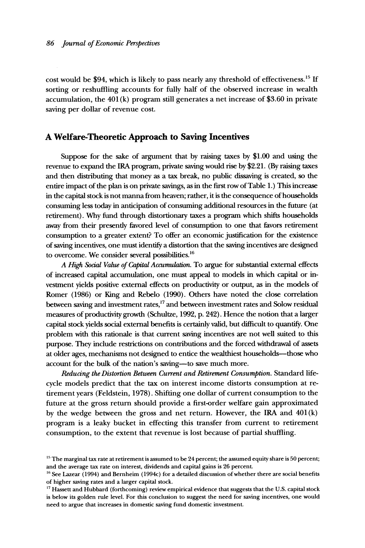**cost would be \$94, which is likely to pass nearly any threshold of effectiveness."' If sorting or reshuffling accounts for fully half of the observed increase in wealth accumulation, the 401 (k) program still generates a net increase of \$3.60 in private saving per dollar of revenue cost.** 

#### **A Welfare-Theoretic Approach to Saving Incentives**

**Suppose for the sake of argument that by raising taxes by \$1.00 and using the revenue to expand the IRA program, private saving would rise by \$2.21. (By raising taxes and then distributing that money as a tax break, no public dissaving is created, so the entire impact of the plan is on private savings, as in the first row of Table 1.) This increase in the capital stock is not manna from heaven; rather, it is the consequence of households consuming less today in anticipation of consuming additional resources in the future (at retirement). Why fund through distortionary taxes a program which shifts households away from their presently favored level of consumption to one that favors retirement consumption to a greater extent? To offer an economic justification for the existence of saving incentives, one must identify a distortion that the saving incentives are designed to overcome. We consider several possibilities.'6** 

**A High Social Value of Capital Accumulation. To argue for substantial external effects of increased capital accumulation, one must appeal to models in which capital or investment yields positive external effects on productivity or output, as in the models of Romer (1986) or King and Rebelo (1990). Others have noted the close correlation between saving and investment rates,'7 and between investment rates and Solow residual measures of productivity growth (Schultze, 1992, p. 242). Hence the notion that a larger capital stock yields social external benefits is certainly valid, but difficult to quantify. One problem with this rationale is that current saving incentives are not well suited to this purpose. They include restrictions on contributions and the forced withdrawal of assets at older ages, mechanisms not designed to entice the wealthiest households-those who account for the bulk of the nation's saving-to save much more.** 

**Reducing the Distortion Between Current and Retirement Consumption. Standard lifecycle models predict that the tax on interest income distorts consumption at retirement years (Feldstein, 1978). Shifting one dollar of current consumption to the future at the gross return should provide a first-order welfare gain approximated by the wedge between the gross and net return. However, the IRA and 401(k) program is a leaky bucket in effecting this transfer from current to retirement consumption, to the extent that revenue is lost because of partial shuffling.** 

<sup>&</sup>lt;sup>15</sup> The marginal tax rate at retirement is assumed to be 24 percent; the assumed equity share is 50 percent; **and the average tax rate on interest, dividends and capital gains is 26 percent.** 

<sup>&</sup>lt;sup>16</sup> See Lazear (1994) and Bernheim (1994c) for a detailed discussion of whether there are social benefits **of higher saving rates and a larger capital stock.** 

**<sup>&</sup>quot;7 Hassett and Hubbard (forthcoming) review empirical evidence that suggests that the U.S. capital stock is below its golden rule level. For this conclusion to suggest the need for saving incentives, one would need to argue that increases in domestic saving fund domestic investment.**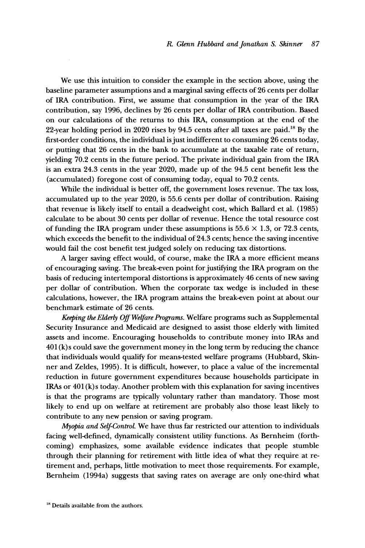**We use this intuition to consider the example in the section above, using the baseline parameter assumptions and a marginal saving effects of 26 cents per dollar of IRA contribution. First, we assume that consumption in the year of the IRA contribution, say 1996, declines by 26 cents per dollar of IRA contribution. Based on our calculations of the returns to this IRA, consumption at the end of the 22-year holding period in 2020 rises by 94.5 cents after all taxes are paid.'8 By the first-order conditions, the individual is just indifferent to consuming 26 cents today, or putting that 26 cents in the bank to accumulate at the taxable rate of return, yielding 70.2 cents in the future period. The private individual gain from the IRA is an extra 24.3 cents in the year 2020, made up of the 94.5 cent benefit less the (accumulated) foregone cost of consuming today, equal to 70.2 cents.** 

**While the individual is better off, the government loses revenue. The tax loss, accumulated up to the year 2020, is 55.6 cents per dollar of contribution. Raising that revenue is likely itself to entail a deadweight cost, which Ballard et al. (1985) calculate to be about 30 cents per dollar of revenue. Hence the total resource cost**  of funding the IRA program under these assumptions is  $55.6 \times 1.3$ , or 72.3 cents, **which exceeds the benefit to the individual of 24.3 cents; hence the saving incentive would fail the cost benefit test judged solely on reducing tax distortions.** 

**A larger saving effect would, of course, make the IRA a more efficient means of encouraging saving. The break-even point for justifying the IRA program on the basis of reducing intertemporal distortions is approximately 46 cents of new saving per dollar of contribution. When the corporate tax wedge is included in these calculations, however, the IRA program attains the break-even point at about our benchmark estimate of 26 cents.** 

**Keeping the Elderly Off Welfare Programs. Welfare programs such as Supplemental Security Insurance and Medicaid are designed to assist those elderly with limited assets and income. Encouraging households to contribute money into IRAs and 401 (k)s could save the government money in the long term by reducing the chance that individuals would qualify for means-tested welfare programs (Hubbard, Skinner and Zeldes, 1995). It is difficult, however, to place a value of the incremental reduction in future government expenditures because households participate in IRAs or 401 (k) s today. Another problem with this explanation for saving incentives is that the programs are typically voluntary rather than mandatory. Those most likely to end up on welfare at retirement are probably also those least likely to contribute to any new pension or saving program.** 

**Myopia and Self-ControL We have thus far restricted our attention to individuals facing well-defined, dynamically consistent utility functions. As Bernheim (forthcoming) emphasizes, some available evidence indicates that people stumble through their planning for retirement with little idea of what they require at retirement and, perhaps, litde motivation to meet those requirements. For example, Bernheim (1994a) suggests that saving rates on average are only one-third what** 

<sup>&</sup>lt;sup>18</sup> Details available from the authors.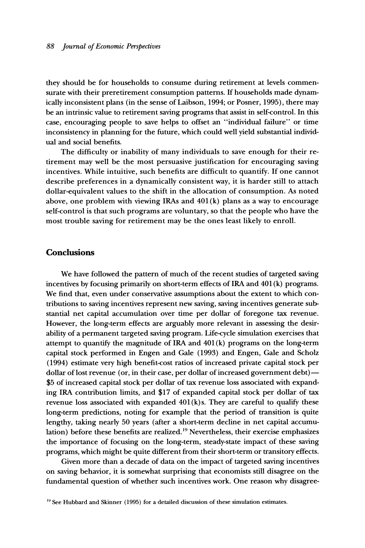**they should be for households to consume during retirement at levels commensurate with their preretirement consumption patterns. If households made dynamically inconsistent plans (in the sense of Laibson, 1994; or Posner, 1995), there may be an intrinsic value to retirement saving programs that assist in self-control. In this case, encouraging people to save helps to offset an "individual failure" or time inconsistency in planning for the future, which could well yield substantial individual and social benefits.** 

**The difficulty or inability of many individuals to save enough for their retirement may well be the most persuasive justification for encouraging saving incentives. While intuitive, such benefits are difficult to quantify. If one cannot describe preferences in a dynamically consistent way, it is harder still to attach dollar-equivalent values to the shift in the allocation of consumption. As noted above, one problem with viewing IRAs and 401 (k) plans as a way to encourage self-control is that such programs are voluntary, so that the people who have the most trouble saving for retirement may be the ones least likely to enroll.** 

#### **Conclusions**

**We have followed the pattern of much of the recent studies of targeted saving incentives by focusing primarily on short-term effects of IRA and 401 (k) programs. We find that, even under conservative assumptions about the extent to which contributions to saving incentives represent new saving, saving incentives generate substantial net capital accumulation over time per dollar of foregone tax revenue. However, the long-term effects are arguably more relevant in assessing the desirability of a permanent targeted saving program. Life-cycle simulation exercises that attempt to quantify the magnitude of IRA and 401 (k) programs on the long-term capital stock performed in Engen and Gale (1993) and Engen, Gale and Scholz (1994) estimate very high benefit-cost ratios of increased private capital stock per dollar of lost revenue (or, in their case, per dollar of increased government debt) - \$5 of increased capital stock per dollar of tax revenue loss associated with expanding IRA contribution limits, and \$17 of expanded capital stock per dollar of tax revenue loss associated with expanded 401(k) s. They are careful to qualify these long-term predictions, noting for example that the period of transition is quite lengthy, taking nearly 50 years (after a short-term decline in net capital accumulation) before these benefits are realized.'9 Nevertheless, their exercise emphasizes the importance of focusing on the long-term, steady-state impact of these saving programs, which might be quite different from their short-term or transitory effects.** 

**Given more than a decade of data on the impact of targeted saving incentives on saving behavior, it is somewhat surprising that economists still disagree on the fundamental question of whether such incentives work. One reason why disagree-** 

<sup>&</sup>lt;sup>19</sup> See Hubbard and Skinner (1995) for a detailed discussion of these simulation estimates.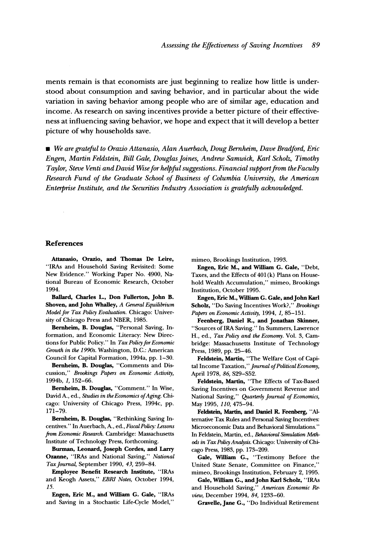**ments remain is that economists are just beginning to realize how little is understood about consumption and saving behavior, and in particular about the wide variation in saving behavior among people who are of similar age, education and income. As research on saving incentives provide a better picture of their effectiveness at influencing saving behavior, we hope and expect that it will develop a better picture of why households save.** 

**\* We are grateful to Orazio Attanasio, Alan Auerbach, Doug Bernheim, Dave Bradford, Eric Engen, Martin Feldstein, Bill Gale, DouglasJoines, Andrew Samwick, Karl Scholz, Timothy**  Taylor, Steve Venti and David Wise for helpful suggestions. Financial support from the Faculty **Research Fund of the Graduate School of Business of Columbia University, the American Enteprrise Institute, and the Securities Industry Association is gratefully acknowledged.** 

#### **References**

**Attanasio, Orazio, and Thomas De Leire, "IRAs and Household Saving Revisited: Some New Evidence." Working Paper No. 4900, National Bureau of Economic Research, October 1994.** 

**Ballard, Charles L., Don Fullerton, John B. Shoven, and John Whalley, A General Equilibrium Model for Tax Policy Evaluation. Chicago: University of Chicago Press and NBER, 1985.** 

**Bernheim, B. Douglas, "Personal Saving, Information, and Economic Literacy: New Direc**tions for Public Policy." In Tax Policy for Economic **Growth in the 1990s. Washington, D.C.: American Council for Capital Formation, 1994a, pp. 1-30.** 

**Bernheim, B. Douglas, "Comments and Discussion," Brookings Papers on Economic Activity, 1994b, 1, 152-66.** 

**Bernheim, B. Douglas, "Comment." In Wise,**  David A., ed., Studies in the Economics of Aging. Chi**cago: University of Chicago Press, 1994c, pp. 171-79.** 

**Bernheim, B. Douglas, "Rethinking Saving Incentives." In Auerbach, A., ed., Fiscal Policy: Lessons from Economic Research. Cambridge: Massachusetts Institute of Technology Press, forthcoming.** 

**Burman, Leonard, Joseph Cordes, and Larry Ozanne, "IRAs and National Saving," National TaxJournal, September 1990, 43, 259-84.** 

**Employee Benefit Research Institute, "IRAs and Keogh Assets," EBRI Notes, October 1994, 15.** 

**Engen, Eric M., and Wllliam G. Gale, "IRAs and Saving in a Stochastic Life-Cycle Model,"** 

**mimeo, Brookings Institution, 1993.** 

**Engen, Eric M., and W'illiam G. Gale, "Debt, Taxes, and the Effects of 401 (k) Plans on Household Wealth Accumulation," mimeo, Brookings Institution, October 1995.** 

Engen, Eric M., William G. Gale, and John Karl **Scholz, "Do Saving Incentives Work?," Brookings Papers on Economic Activity, 1994, 1, 85-151.** 

**Feenberg, Daniel R., and Jonathan Skinner, "Sources of IRA Saving." In Summers, Lawrence H., ed., Tax Policy and the Economy. Vol. 3, Cambridge: Massachusetts Institute of Technology Press, 1989, pp. 25-46.** 

**Feldstein, Martin, "The Welfare Cost of Capi**tal Income Taxation," Journal of Political Economy, **April 1978, 86, S29-S52.** 

**Feldstein, Martin, "The Effects of Tax-Based Saving Incentives on Government Revenue and National Saving," Quarterly Journal of Economics, May 1995, 110, 475-94.** 

**Feldstein, Martin, and Daniel R. Feenberg, "Alternative Tax Rules and Personal Saving Incentives: Microeconomic Data and Behavioral Simulations." In Feldstein, Martin, ed., Behavioral Simulation Methods in Tax Policy Analysis. Chicago: University of Chicago Press, 1983, pp. 173-209.** 

Gale, William G., "Testimony Before the **United State Senate, Committee on Finance," mimeo, Brookings Institution, February 2, 1995.** 

**Gale, Willliam G., andJohn Karl Scholz, "IRAs and Household Saving," American Economic Review, December 1994, 84, 1233-60.** 

**Gravelle, Jane G., "Do Individual Retirement**